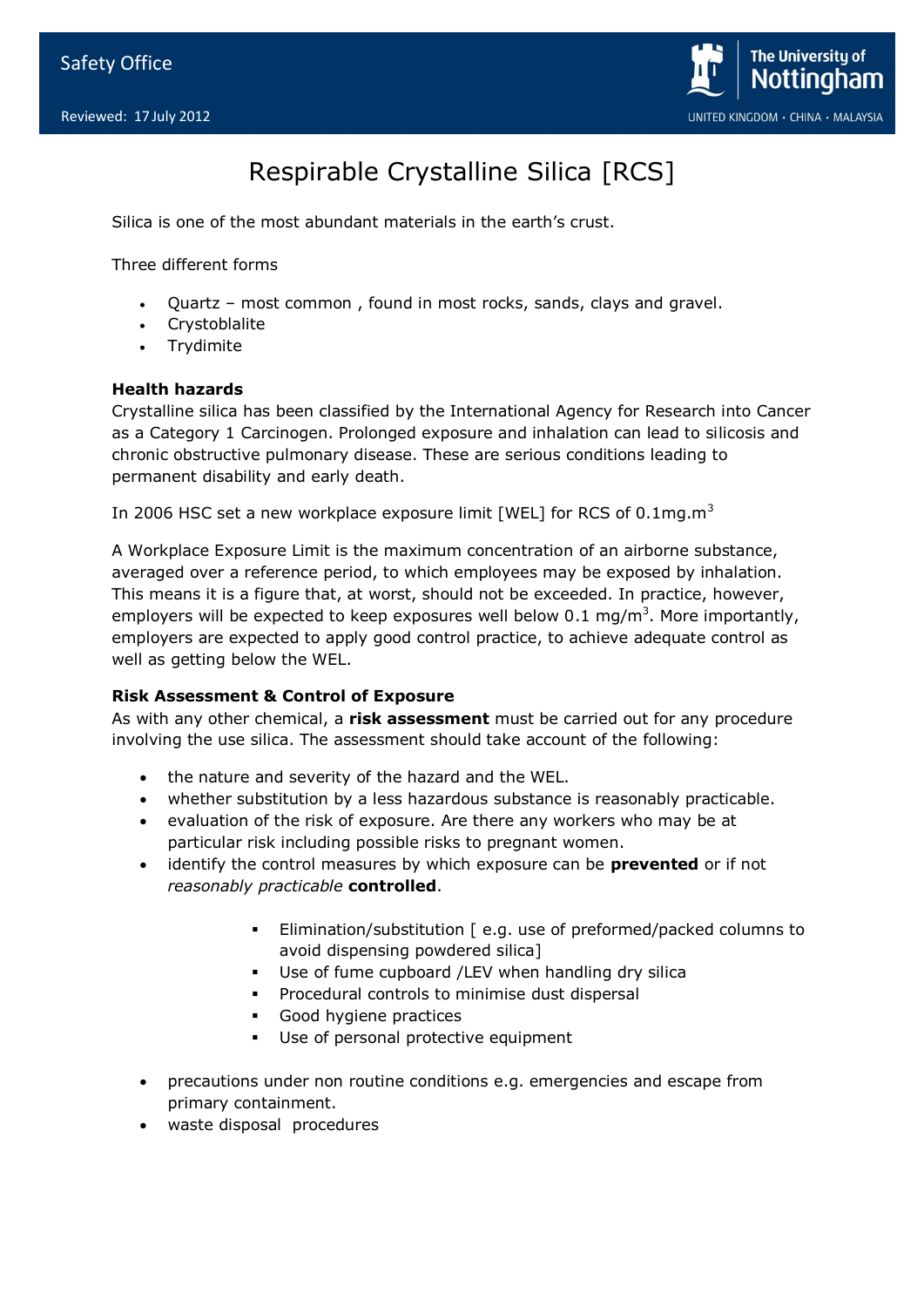

## Respirable Crystalline Silica [RCS]

Silica is one of the most abundant materials in the earth's crust.

Three different forms

- Quartz most common , found in most rocks, sands, clays and gravel.
- Crystoblalite
- Trydimite

## **Health hazards**

Crystalline silica has been classified by the International Agency for Research into Cancer as a Category 1 Carcinogen. Prolonged exposure and inhalation can lead to silicosis and chronic obstructive pulmonary disease. These are serious conditions leading to permanent disability and early death.

In 2006 HSC set a new workplace exposure limit [WEL] for RCS of  $0.1$ mg.m<sup>3</sup>

A Workplace Exposure Limit is the maximum concentration of an airborne substance, averaged over a reference period, to which employees may be exposed by inhalation. This means it is a figure that, at worst, should not be exceeded. In practice, however, employers will be expected to keep exposures well below 0.1 mg/m<sup>3</sup>. More importantly, employers are expected to apply good control practice, to achieve adequate control as well as getting below the WEL.

## **Risk Assessment & Control of Exposure**

As with any other chemical, a **risk assessment** must be carried out for any procedure involving the use silica. The assessment should take account of the following:

- the nature and severity of the hazard and the WEL.
- whether substitution by a less hazardous substance is reasonably practicable.
- evaluation of the risk of exposure. Are there any workers who may be at particular risk including possible risks to pregnant women.
- identify the control measures by which exposure can be **prevented** or if not *reasonably practicable* **controlled**.
	- Elimination/substitution [ e.g. use of preformed/packed columns to avoid dispensing powdered silica]
	- Use of fume cupboard /LEV when handling dry silica
	- **Procedural controls to minimise dust dispersal**
	- Good hygiene practices
	- Use of personal protective equipment
- precautions under non routine conditions e.g. emergencies and escape from primary containment.
- waste disposal procedures